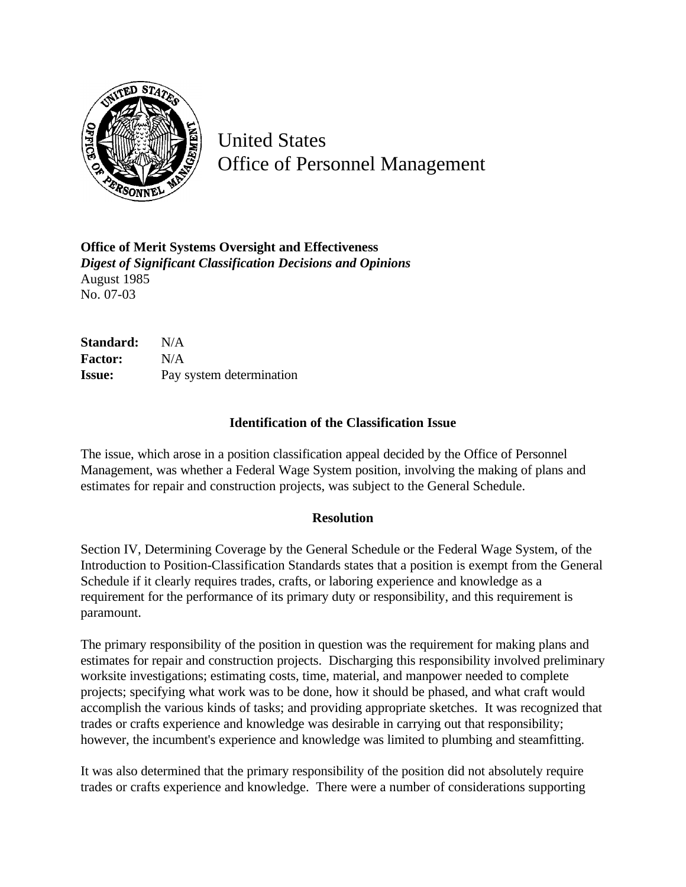

United States Office of Personnel Management

**Office of Merit Systems Oversight and Effectiveness** *Digest of Significant Classification Decisions and Opinions* August 1985 No. 07-03

**Standard:** N/A **Factor:** N/A **Issue:** Pay system determination

## **Identification of the Classification Issue**

The issue, which arose in a position classification appeal decided by the Office of Personnel Management, was whether a Federal Wage System position, involving the making of plans and estimates for repair and construction projects, was subject to the General Schedule.

## **Resolution**

Section IV, Determining Coverage by the General Schedule or the Federal Wage System, of the Introduction to Position-Classification Standards states that a position is exempt from the General Schedule if it clearly requires trades, crafts, or laboring experience and knowledge as a requirement for the performance of its primary duty or responsibility, and this requirement is paramount.

The primary responsibility of the position in question was the requirement for making plans and estimates for repair and construction projects. Discharging this responsibility involved preliminary worksite investigations; estimating costs, time, material, and manpower needed to complete projects; specifying what work was to be done, how it should be phased, and what craft would accomplish the various kinds of tasks; and providing appropriate sketches. It was recognized that trades or crafts experience and knowledge was desirable in carrying out that responsibility; however, the incumbent's experience and knowledge was limited to plumbing and steamfitting.

It was also determined that the primary responsibility of the position did not absolutely require trades or crafts experience and knowledge. There were a number of considerations supporting